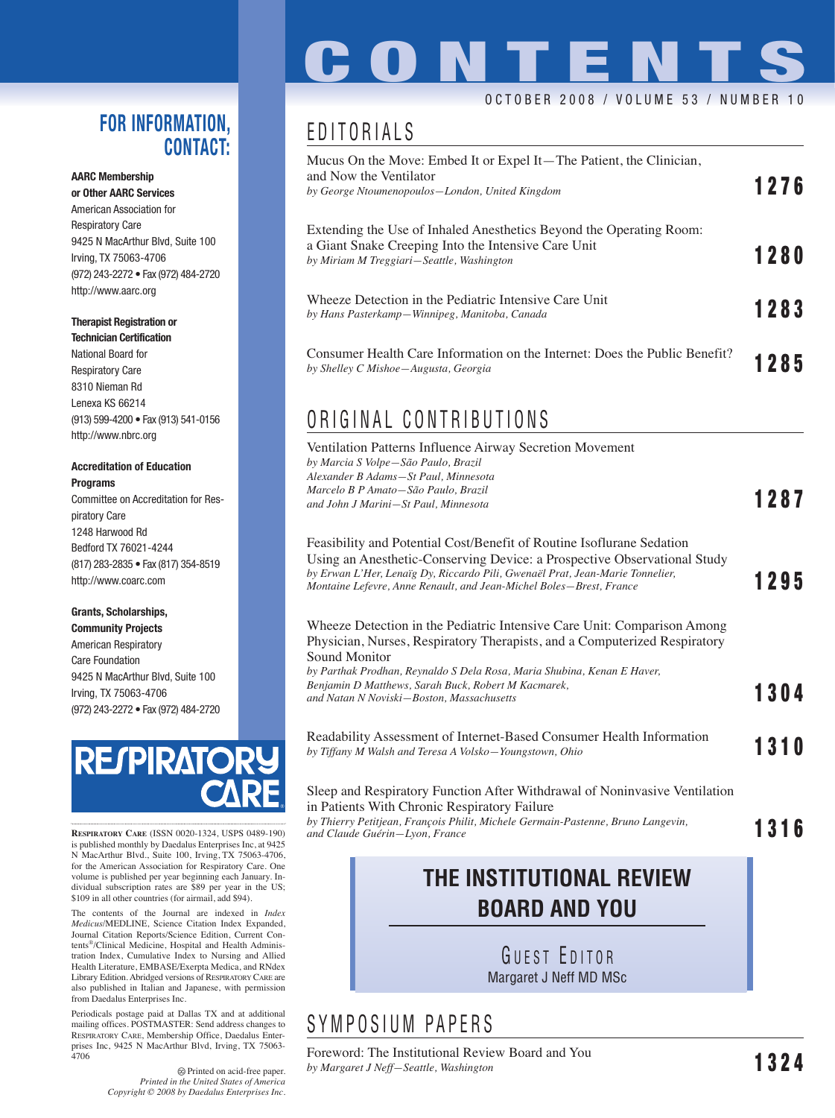#### **FOR INFORMATION, CONTACT:**

#### **AARC Membership**

**or Other AARC Services** American Association for Respiratory Care 9425 N MacArthur Blvd, Suite 100 Irving, TX 75063-4706 (972) 243-2272 • Fax (972) 484-2720 http://www.aarc.org

#### **Therapist Registration or Technician Certification**

National Board for Respiratory Care 8310 Nieman Rd Lenexa KS 66214 (913) 599-4200 • Fax (913) 541-0156 http://www.nbrc.org

#### **Accreditation of Education Programs**

Committee on Accreditation for Respiratory Care 1248 Harwood Rd Bedford TX 76021-4244 (817) 283-2835 • Fax (817) 354-8519 http://www.coarc.com

#### **Grants, Scholarships, Community Projects**

American Respiratory Care Foundation 9425 N MacArthur Blvd, Suite 100 Irving, TX 75063-4706 (972) 243-2272 • Fax (972) 484-2720



**RESPIRATORY CARE** (ISSN 0020-1324, USPS 0489-190) is published monthly by Daedalus Enterprises Inc, at 9425 N MacArthur Blvd., Suite 100, Irving, TX 75063-4706, for the American Association for Respiratory Care. One volume is published per year beginning each January. Individual subscription rates are \$89 per year in the US; \$109 in all other countries (for airmail, add \$94).

The contents of the Journal are indexed in *Index Medicus*/MEDLINE, Science Citation Index Expanded, Journal Citation Reports/Science Edition, Current Contents®/Clinical Medicine, Hospital and Health Administration Index, Cumulative Index to Nursing and Allied Health Literature, EMBASE/Exerpta Medica, and RNdex Library Edition. Abridged versions of RESPIRATORY CARE are also published in Italian and Japanese, with permission from Daedalus Enterprises Inc.

Periodicals postage paid at Dallas TX and at additional mailing offices. POSTMASTER: Send address changes to RESPIRATORY CARE, Membership Office, Daedalus Enterprises Inc, 9425 N MacArthur Blvd, Irving, TX 75063- 4706

Printed on acid-free paper. *Printed in the United States of America Copyright © 2008 by Daedalus Enterprises Inc.*

# **CONTENTS**

#### OCTOBER 2008 / VOLUME 53 / NUMBER 10

## EDITORIALS

| Mucus On the Move: Embed It or Expel It—The Patient, the Clinician,<br>and Now the Ventilator<br>by George Ntoumenopoulos-London, United Kingdom                        | 1276 |
|-------------------------------------------------------------------------------------------------------------------------------------------------------------------------|------|
| Extending the Use of Inhaled Anesthetics Beyond the Operating Room:<br>a Giant Snake Creeping Into the Intensive Care Unit<br>by Miriam M Treggiari-Seattle, Washington | 1280 |
| Wheeze Detection in the Pediatric Intensive Care Unit<br>by Hans Pasterkamp-Winnipeg, Manitoba, Canada                                                                  | 1283 |
| Consumer Health Care Information on the Internet: Does the Public Benefit?<br>by Shelley C Mishoe—Augusta, Georgia                                                      | 1285 |

### ORIGINAL CONTRIBUTIONS

| Ventilation Patterns Influence Airway Secretion Movement |      |
|----------------------------------------------------------|------|
| by Marcia S Volpe-São Paulo, Brazil                      |      |
| Alexander B Adams-St Paul, Minnesota                     |      |
| Marcelo B P Amato-São Paulo, Brazil                      |      |
| and John J Marini–St Paul, Minnesota                     | 1287 |
|                                                          |      |
|                                                          |      |

| Feasibility and Potential Cost/Benefit of Routine Isoflurane Sedation<br>Using an Anesthetic-Conserving Device: a Prospective Observational Study    |      |
|------------------------------------------------------------------------------------------------------------------------------------------------------|------|
| by Erwan L'Her, Lenaïg Dy, Riccardo Pili, Gwenaël Prat, Jean-Marie Tonnelier,<br>Montaine Lefevre, Anne Renault, and Jean-Michel Boles–Brest, France | 1295 |

Wheeze Detection in the Pediatric Intensive Care Unit: Comparison Among Physician, Nurses, Respiratory Therapists, and a Computerized Respiratory Sound Monitor *by Parthak Prodhan, Reynaldo S Dela Rosa, Maria Shubina, Kenan E Haver,* 

*Benjamin D Matthews, Sarah Buck, Robert M Kacmarek, and Natan N Noviski—Boston, Massachusetts* **1304**

Readability Assessment of Internet-Based Consumer Health Information *by Tiffany M Walsh and Teresa A Volsko—Youngstown, Ohio* **1310**

Sleep and Respiratory Function After Withdrawal of Noninvasive Ventilation in Patients With Chronic Respiratory Failure *by Thierry Petitjean, François Philit, Michele Germain-Pastenne, Bruno Langevin, and Claude Guérin—Lyon, France* **1316**

#### **THE INSTITUTIONAL REVIEW BOARD AND YOU**

GUEST EDITOR Margaret J Neff MD MSc

#### SYMPOSIUM PAPERS

Foreword: The Institutional Review Board and You *by Margaret J Neff—Seattle, Washington* **1324**